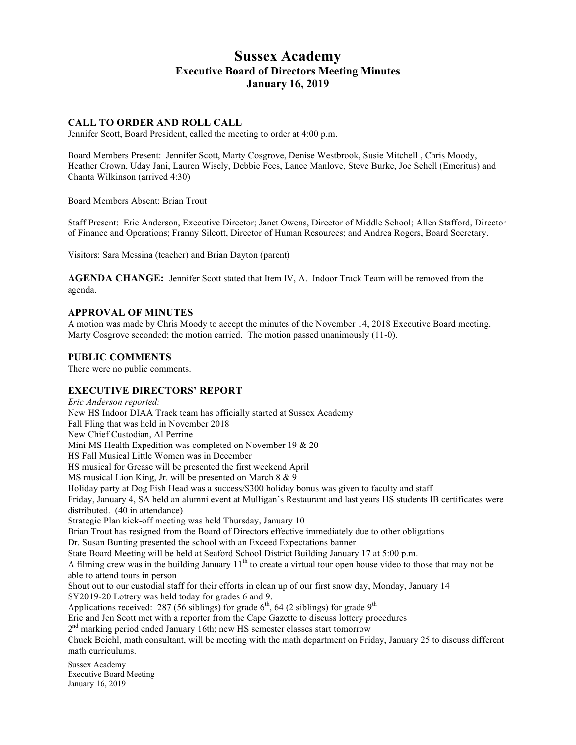# **Sussex Academy Executive Board of Directors Meeting Minutes January 16, 2019**

## **CALL TO ORDER AND ROLL CALL**

Jennifer Scott, Board President, called the meeting to order at 4:00 p.m.

Board Members Present: Jennifer Scott, Marty Cosgrove, Denise Westbrook, Susie Mitchell , Chris Moody, Heather Crown, Uday Jani, Lauren Wisely, Debbie Fees, Lance Manlove, Steve Burke, Joe Schell (Emeritus) and Chanta Wilkinson (arrived 4:30)

Board Members Absent: Brian Trout

Staff Present: Eric Anderson, Executive Director; Janet Owens, Director of Middle School; Allen Stafford, Director of Finance and Operations; Franny Silcott, Director of Human Resources; and Andrea Rogers, Board Secretary.

Visitors: Sara Messina (teacher) and Brian Dayton (parent)

**AGENDA CHANGE:** Jennifer Scott stated that Item IV, A. Indoor Track Team will be removed from the agenda.

#### **APPROVAL OF MINUTES**

A motion was made by Chris Moody to accept the minutes of the November 14, 2018 Executive Board meeting. Marty Cosgrove seconded; the motion carried. The motion passed unanimously (11-0).

## **PUBLIC COMMENTS**

There were no public comments.

## **EXECUTIVE DIRECTORS' REPORT**

Sussex Academy *Eric Anderson reported:* New HS Indoor DIAA Track team has officially started at Sussex Academy Fall Fling that was held in November 2018 New Chief Custodian, Al Perrine Mini MS Health Expedition was completed on November 19 & 20 HS Fall Musical Little Women was in December HS musical for Grease will be presented the first weekend April MS musical Lion King, Jr. will be presented on March 8 & 9 Holiday party at Dog Fish Head was a success/\$300 holiday bonus was given to faculty and staff Friday, January 4, SA held an alumni event at Mulligan's Restaurant and last years HS students IB certificates were distributed. (40 in attendance) Strategic Plan kick-off meeting was held Thursday, January 10 Brian Trout has resigned from the Board of Directors effective immediately due to other obligations Dr. Susan Bunting presented the school with an Exceed Expectations banner State Board Meeting will be held at Seaford School District Building January 17 at 5:00 p.m. A filming crew was in the building January  $11<sup>th</sup>$  to create a virtual tour open house video to those that may not be able to attend tours in person Shout out to our custodial staff for their efforts in clean up of our first snow day, Monday, January 14 SY2019-20 Lottery was held today for grades 6 and 9. Applications received: 287 (56 siblings) for grade  $6<sup>th</sup>$ , 64 (2 siblings) for grade  $9<sup>th</sup>$ Eric and Jen Scott met with a reporter from the Cape Gazette to discuss lottery procedures  $2<sup>nd</sup>$  marking period ended January 16th; new HS semester classes start tomorrow Chuck Beiehl, math consultant, will be meeting with the math department on Friday, January 25 to discuss different math curriculums.

Executive Board Meeting January 16, 2019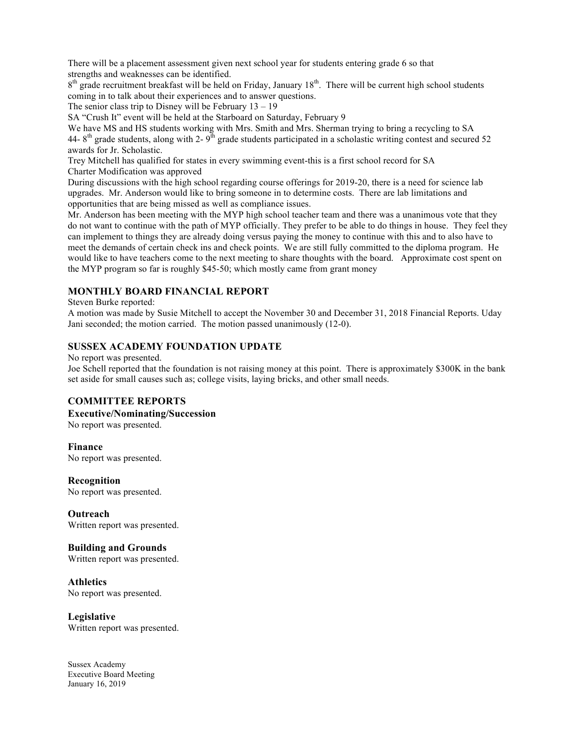There will be a placement assessment given next school year for students entering grade 6 so that strengths and weaknesses can be identified.

8<sup>th</sup> grade recruitment breakfast will be held on Friday, January 18<sup>th</sup>. There will be current high school students coming in to talk about their experiences and to answer questions.

The senior class trip to Disney will be February  $13 - 19$ 

SA "Crush It" event will be held at the Starboard on Saturday, February 9

We have MS and HS students working with Mrs. Smith and Mrs. Sherman trying to bring a recycling to SA 44-8<sup>th</sup> grade students, along with 2-9<sup>th</sup> grade students participated in a scholastic writing contest and secured 52 awards for Jr. Scholastic.

Trey Mitchell has qualified for states in every swimming event-this is a first school record for SA Charter Modification was approved

During discussions with the high school regarding course offerings for 2019-20, there is a need for science lab upgrades. Mr. Anderson would like to bring someone in to determine costs. There are lab limitations and opportunities that are being missed as well as compliance issues.

Mr. Anderson has been meeting with the MYP high school teacher team and there was a unanimous vote that they do not want to continue with the path of MYP officially. They prefer to be able to do things in house. They feel they can implement to things they are already doing versus paying the money to continue with this and to also have to meet the demands of certain check ins and check points. We are still fully committed to the diploma program. He would like to have teachers come to the next meeting to share thoughts with the board. Approximate cost spent on the MYP program so far is roughly \$45-50; which mostly came from grant money

# **MONTHLY BOARD FINANCIAL REPORT**

Steven Burke reported:

A motion was made by Susie Mitchell to accept the November 30 and December 31, 2018 Financial Reports. Uday Jani seconded; the motion carried. The motion passed unanimously (12-0).

## **SUSSEX ACADEMY FOUNDATION UPDATE**

No report was presented.

Joe Schell reported that the foundation is not raising money at this point. There is approximately \$300K in the bank set aside for small causes such as; college visits, laying bricks, and other small needs.

## **COMMITTEE REPORTS**

**Executive/Nominating/Succession**

No report was presented.

**Finance** No report was presented.

**Recognition** No report was presented.

**Outreach** Written report was presented.

**Building and Grounds** Written report was presented.

**Athletics** No report was presented.

**Legislative** Written report was presented.

Sussex Academy Executive Board Meeting January 16, 2019